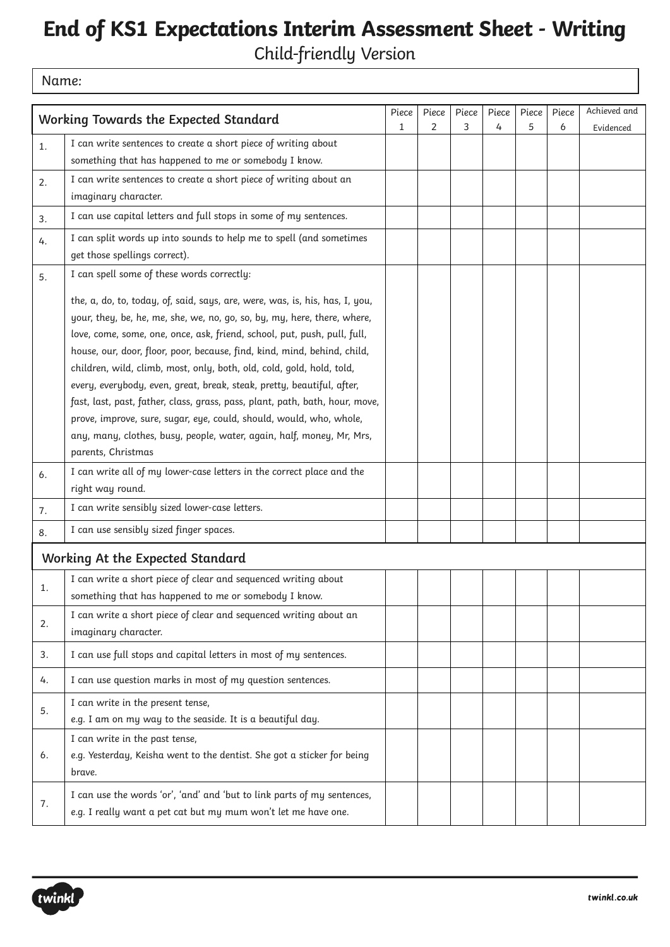## **End of KS1 Expectations Interim Assessment Sheet - Writing**

Child-friendly Version

Name:

| Working Towards the Expected Standard<br>$\overline{2}$<br>3<br>5<br>$\mathbf{1}$<br>4<br>6<br>Evidenced<br>I can write sentences to create a short piece of writing about<br>1.<br>something that has happened to me or somebody I know.<br>I can write sentences to create a short piece of writing about an<br>2.<br>imaginary character.<br>I can use capital letters and full stops in some of my sentences.<br>3.<br>I can split words up into sounds to help me to spell (and sometimes<br>4.<br>get those spellings correct).<br>I can spell some of these words correctly:<br>5.<br>the, a, do, to, today, of, said, says, are, were, was, is, his, has, I, you,<br>your, they, be, he, me, she, we, no, go, so, by, my, here, there, where,<br>love, come, some, one, once, ask, friend, school, put, push, pull, full,<br>house, our, door, floor, poor, because, find, kind, mind, behind, child,<br>children, wild, climb, most, only, both, old, cold, gold, hold, told,<br>every, everybody, even, great, break, steak, pretty, beautiful, after,<br>fast, last, past, father, class, grass, pass, plant, path, bath, hour, move,<br>prove, improve, sure, sugar, eye, could, should, would, who, whole,<br>any, many, clothes, busy, people, water, again, half, money, Mr, Mrs,<br>parents, Christmas<br>I can write all of my lower-case letters in the correct place and the<br>6.<br>right way round.<br>I can write sensibly sized lower-case letters.<br>7.<br>I can use sensibly sized finger spaces.<br>8.<br>Working At the Expected Standard<br>I can write a short piece of clear and sequenced writing about<br>1.<br>something that has happened to me or somebody I know.<br>I can write a short piece of clear and sequenced writing about an<br>2.<br>imaginary character.<br>I can use full stops and capital letters in most of my sentences.<br>3.<br>I can use question marks in most of my question sentences.<br>4.<br>I can write in the present tense,<br>5.<br>e.g. I am on my way to the seaside. It is a beautiful day.<br>I can write in the past tense,<br>e.g. Yesterday, Keisha went to the dentist. She got a sticker for being<br>6.<br>brave.<br>I can use the words 'or', 'and' and 'but to link parts of my sentences,<br>7.<br>e.g. I really want a pet cat but my mum won't let me have one. |  |  |       |       |       |       |       |       |              |
|----------------------------------------------------------------------------------------------------------------------------------------------------------------------------------------------------------------------------------------------------------------------------------------------------------------------------------------------------------------------------------------------------------------------------------------------------------------------------------------------------------------------------------------------------------------------------------------------------------------------------------------------------------------------------------------------------------------------------------------------------------------------------------------------------------------------------------------------------------------------------------------------------------------------------------------------------------------------------------------------------------------------------------------------------------------------------------------------------------------------------------------------------------------------------------------------------------------------------------------------------------------------------------------------------------------------------------------------------------------------------------------------------------------------------------------------------------------------------------------------------------------------------------------------------------------------------------------------------------------------------------------------------------------------------------------------------------------------------------------------------------------------------------------------------------------------------------------------------------------------------------------------------------------------------------------------------------------------------------------------------------------------------------------------------------------------------------------------------------------------------------------------------------------------------------------------------------------------------------------------------------------------------------------------------------------------------------------------------|--|--|-------|-------|-------|-------|-------|-------|--------------|
|                                                                                                                                                                                                                                                                                                                                                                                                                                                                                                                                                                                                                                                                                                                                                                                                                                                                                                                                                                                                                                                                                                                                                                                                                                                                                                                                                                                                                                                                                                                                                                                                                                                                                                                                                                                                                                                                                                                                                                                                                                                                                                                                                                                                                                                                                                                                                    |  |  | Piece | Piece | Piece | Piece | Piece | Piece | Achieved and |
|                                                                                                                                                                                                                                                                                                                                                                                                                                                                                                                                                                                                                                                                                                                                                                                                                                                                                                                                                                                                                                                                                                                                                                                                                                                                                                                                                                                                                                                                                                                                                                                                                                                                                                                                                                                                                                                                                                                                                                                                                                                                                                                                                                                                                                                                                                                                                    |  |  |       |       |       |       |       |       |              |
|                                                                                                                                                                                                                                                                                                                                                                                                                                                                                                                                                                                                                                                                                                                                                                                                                                                                                                                                                                                                                                                                                                                                                                                                                                                                                                                                                                                                                                                                                                                                                                                                                                                                                                                                                                                                                                                                                                                                                                                                                                                                                                                                                                                                                                                                                                                                                    |  |  |       |       |       |       |       |       |              |
|                                                                                                                                                                                                                                                                                                                                                                                                                                                                                                                                                                                                                                                                                                                                                                                                                                                                                                                                                                                                                                                                                                                                                                                                                                                                                                                                                                                                                                                                                                                                                                                                                                                                                                                                                                                                                                                                                                                                                                                                                                                                                                                                                                                                                                                                                                                                                    |  |  |       |       |       |       |       |       |              |
|                                                                                                                                                                                                                                                                                                                                                                                                                                                                                                                                                                                                                                                                                                                                                                                                                                                                                                                                                                                                                                                                                                                                                                                                                                                                                                                                                                                                                                                                                                                                                                                                                                                                                                                                                                                                                                                                                                                                                                                                                                                                                                                                                                                                                                                                                                                                                    |  |  |       |       |       |       |       |       |              |
|                                                                                                                                                                                                                                                                                                                                                                                                                                                                                                                                                                                                                                                                                                                                                                                                                                                                                                                                                                                                                                                                                                                                                                                                                                                                                                                                                                                                                                                                                                                                                                                                                                                                                                                                                                                                                                                                                                                                                                                                                                                                                                                                                                                                                                                                                                                                                    |  |  |       |       |       |       |       |       |              |
|                                                                                                                                                                                                                                                                                                                                                                                                                                                                                                                                                                                                                                                                                                                                                                                                                                                                                                                                                                                                                                                                                                                                                                                                                                                                                                                                                                                                                                                                                                                                                                                                                                                                                                                                                                                                                                                                                                                                                                                                                                                                                                                                                                                                                                                                                                                                                    |  |  |       |       |       |       |       |       |              |
|                                                                                                                                                                                                                                                                                                                                                                                                                                                                                                                                                                                                                                                                                                                                                                                                                                                                                                                                                                                                                                                                                                                                                                                                                                                                                                                                                                                                                                                                                                                                                                                                                                                                                                                                                                                                                                                                                                                                                                                                                                                                                                                                                                                                                                                                                                                                                    |  |  |       |       |       |       |       |       |              |
|                                                                                                                                                                                                                                                                                                                                                                                                                                                                                                                                                                                                                                                                                                                                                                                                                                                                                                                                                                                                                                                                                                                                                                                                                                                                                                                                                                                                                                                                                                                                                                                                                                                                                                                                                                                                                                                                                                                                                                                                                                                                                                                                                                                                                                                                                                                                                    |  |  |       |       |       |       |       |       |              |
|                                                                                                                                                                                                                                                                                                                                                                                                                                                                                                                                                                                                                                                                                                                                                                                                                                                                                                                                                                                                                                                                                                                                                                                                                                                                                                                                                                                                                                                                                                                                                                                                                                                                                                                                                                                                                                                                                                                                                                                                                                                                                                                                                                                                                                                                                                                                                    |  |  |       |       |       |       |       |       |              |
|                                                                                                                                                                                                                                                                                                                                                                                                                                                                                                                                                                                                                                                                                                                                                                                                                                                                                                                                                                                                                                                                                                                                                                                                                                                                                                                                                                                                                                                                                                                                                                                                                                                                                                                                                                                                                                                                                                                                                                                                                                                                                                                                                                                                                                                                                                                                                    |  |  |       |       |       |       |       |       |              |
|                                                                                                                                                                                                                                                                                                                                                                                                                                                                                                                                                                                                                                                                                                                                                                                                                                                                                                                                                                                                                                                                                                                                                                                                                                                                                                                                                                                                                                                                                                                                                                                                                                                                                                                                                                                                                                                                                                                                                                                                                                                                                                                                                                                                                                                                                                                                                    |  |  |       |       |       |       |       |       |              |
|                                                                                                                                                                                                                                                                                                                                                                                                                                                                                                                                                                                                                                                                                                                                                                                                                                                                                                                                                                                                                                                                                                                                                                                                                                                                                                                                                                                                                                                                                                                                                                                                                                                                                                                                                                                                                                                                                                                                                                                                                                                                                                                                                                                                                                                                                                                                                    |  |  |       |       |       |       |       |       |              |
|                                                                                                                                                                                                                                                                                                                                                                                                                                                                                                                                                                                                                                                                                                                                                                                                                                                                                                                                                                                                                                                                                                                                                                                                                                                                                                                                                                                                                                                                                                                                                                                                                                                                                                                                                                                                                                                                                                                                                                                                                                                                                                                                                                                                                                                                                                                                                    |  |  |       |       |       |       |       |       |              |
|                                                                                                                                                                                                                                                                                                                                                                                                                                                                                                                                                                                                                                                                                                                                                                                                                                                                                                                                                                                                                                                                                                                                                                                                                                                                                                                                                                                                                                                                                                                                                                                                                                                                                                                                                                                                                                                                                                                                                                                                                                                                                                                                                                                                                                                                                                                                                    |  |  |       |       |       |       |       |       |              |
|                                                                                                                                                                                                                                                                                                                                                                                                                                                                                                                                                                                                                                                                                                                                                                                                                                                                                                                                                                                                                                                                                                                                                                                                                                                                                                                                                                                                                                                                                                                                                                                                                                                                                                                                                                                                                                                                                                                                                                                                                                                                                                                                                                                                                                                                                                                                                    |  |  |       |       |       |       |       |       |              |
|                                                                                                                                                                                                                                                                                                                                                                                                                                                                                                                                                                                                                                                                                                                                                                                                                                                                                                                                                                                                                                                                                                                                                                                                                                                                                                                                                                                                                                                                                                                                                                                                                                                                                                                                                                                                                                                                                                                                                                                                                                                                                                                                                                                                                                                                                                                                                    |  |  |       |       |       |       |       |       |              |
|                                                                                                                                                                                                                                                                                                                                                                                                                                                                                                                                                                                                                                                                                                                                                                                                                                                                                                                                                                                                                                                                                                                                                                                                                                                                                                                                                                                                                                                                                                                                                                                                                                                                                                                                                                                                                                                                                                                                                                                                                                                                                                                                                                                                                                                                                                                                                    |  |  |       |       |       |       |       |       |              |
|                                                                                                                                                                                                                                                                                                                                                                                                                                                                                                                                                                                                                                                                                                                                                                                                                                                                                                                                                                                                                                                                                                                                                                                                                                                                                                                                                                                                                                                                                                                                                                                                                                                                                                                                                                                                                                                                                                                                                                                                                                                                                                                                                                                                                                                                                                                                                    |  |  |       |       |       |       |       |       |              |
|                                                                                                                                                                                                                                                                                                                                                                                                                                                                                                                                                                                                                                                                                                                                                                                                                                                                                                                                                                                                                                                                                                                                                                                                                                                                                                                                                                                                                                                                                                                                                                                                                                                                                                                                                                                                                                                                                                                                                                                                                                                                                                                                                                                                                                                                                                                                                    |  |  |       |       |       |       |       |       |              |
|                                                                                                                                                                                                                                                                                                                                                                                                                                                                                                                                                                                                                                                                                                                                                                                                                                                                                                                                                                                                                                                                                                                                                                                                                                                                                                                                                                                                                                                                                                                                                                                                                                                                                                                                                                                                                                                                                                                                                                                                                                                                                                                                                                                                                                                                                                                                                    |  |  |       |       |       |       |       |       |              |
|                                                                                                                                                                                                                                                                                                                                                                                                                                                                                                                                                                                                                                                                                                                                                                                                                                                                                                                                                                                                                                                                                                                                                                                                                                                                                                                                                                                                                                                                                                                                                                                                                                                                                                                                                                                                                                                                                                                                                                                                                                                                                                                                                                                                                                                                                                                                                    |  |  |       |       |       |       |       |       |              |
|                                                                                                                                                                                                                                                                                                                                                                                                                                                                                                                                                                                                                                                                                                                                                                                                                                                                                                                                                                                                                                                                                                                                                                                                                                                                                                                                                                                                                                                                                                                                                                                                                                                                                                                                                                                                                                                                                                                                                                                                                                                                                                                                                                                                                                                                                                                                                    |  |  |       |       |       |       |       |       |              |
|                                                                                                                                                                                                                                                                                                                                                                                                                                                                                                                                                                                                                                                                                                                                                                                                                                                                                                                                                                                                                                                                                                                                                                                                                                                                                                                                                                                                                                                                                                                                                                                                                                                                                                                                                                                                                                                                                                                                                                                                                                                                                                                                                                                                                                                                                                                                                    |  |  |       |       |       |       |       |       |              |
|                                                                                                                                                                                                                                                                                                                                                                                                                                                                                                                                                                                                                                                                                                                                                                                                                                                                                                                                                                                                                                                                                                                                                                                                                                                                                                                                                                                                                                                                                                                                                                                                                                                                                                                                                                                                                                                                                                                                                                                                                                                                                                                                                                                                                                                                                                                                                    |  |  |       |       |       |       |       |       |              |
|                                                                                                                                                                                                                                                                                                                                                                                                                                                                                                                                                                                                                                                                                                                                                                                                                                                                                                                                                                                                                                                                                                                                                                                                                                                                                                                                                                                                                                                                                                                                                                                                                                                                                                                                                                                                                                                                                                                                                                                                                                                                                                                                                                                                                                                                                                                                                    |  |  |       |       |       |       |       |       |              |
|                                                                                                                                                                                                                                                                                                                                                                                                                                                                                                                                                                                                                                                                                                                                                                                                                                                                                                                                                                                                                                                                                                                                                                                                                                                                                                                                                                                                                                                                                                                                                                                                                                                                                                                                                                                                                                                                                                                                                                                                                                                                                                                                                                                                                                                                                                                                                    |  |  |       |       |       |       |       |       |              |
|                                                                                                                                                                                                                                                                                                                                                                                                                                                                                                                                                                                                                                                                                                                                                                                                                                                                                                                                                                                                                                                                                                                                                                                                                                                                                                                                                                                                                                                                                                                                                                                                                                                                                                                                                                                                                                                                                                                                                                                                                                                                                                                                                                                                                                                                                                                                                    |  |  |       |       |       |       |       |       |              |
|                                                                                                                                                                                                                                                                                                                                                                                                                                                                                                                                                                                                                                                                                                                                                                                                                                                                                                                                                                                                                                                                                                                                                                                                                                                                                                                                                                                                                                                                                                                                                                                                                                                                                                                                                                                                                                                                                                                                                                                                                                                                                                                                                                                                                                                                                                                                                    |  |  |       |       |       |       |       |       |              |
|                                                                                                                                                                                                                                                                                                                                                                                                                                                                                                                                                                                                                                                                                                                                                                                                                                                                                                                                                                                                                                                                                                                                                                                                                                                                                                                                                                                                                                                                                                                                                                                                                                                                                                                                                                                                                                                                                                                                                                                                                                                                                                                                                                                                                                                                                                                                                    |  |  |       |       |       |       |       |       |              |
|                                                                                                                                                                                                                                                                                                                                                                                                                                                                                                                                                                                                                                                                                                                                                                                                                                                                                                                                                                                                                                                                                                                                                                                                                                                                                                                                                                                                                                                                                                                                                                                                                                                                                                                                                                                                                                                                                                                                                                                                                                                                                                                                                                                                                                                                                                                                                    |  |  |       |       |       |       |       |       |              |
|                                                                                                                                                                                                                                                                                                                                                                                                                                                                                                                                                                                                                                                                                                                                                                                                                                                                                                                                                                                                                                                                                                                                                                                                                                                                                                                                                                                                                                                                                                                                                                                                                                                                                                                                                                                                                                                                                                                                                                                                                                                                                                                                                                                                                                                                                                                                                    |  |  |       |       |       |       |       |       |              |
|                                                                                                                                                                                                                                                                                                                                                                                                                                                                                                                                                                                                                                                                                                                                                                                                                                                                                                                                                                                                                                                                                                                                                                                                                                                                                                                                                                                                                                                                                                                                                                                                                                                                                                                                                                                                                                                                                                                                                                                                                                                                                                                                                                                                                                                                                                                                                    |  |  |       |       |       |       |       |       |              |
|                                                                                                                                                                                                                                                                                                                                                                                                                                                                                                                                                                                                                                                                                                                                                                                                                                                                                                                                                                                                                                                                                                                                                                                                                                                                                                                                                                                                                                                                                                                                                                                                                                                                                                                                                                                                                                                                                                                                                                                                                                                                                                                                                                                                                                                                                                                                                    |  |  |       |       |       |       |       |       |              |
|                                                                                                                                                                                                                                                                                                                                                                                                                                                                                                                                                                                                                                                                                                                                                                                                                                                                                                                                                                                                                                                                                                                                                                                                                                                                                                                                                                                                                                                                                                                                                                                                                                                                                                                                                                                                                                                                                                                                                                                                                                                                                                                                                                                                                                                                                                                                                    |  |  |       |       |       |       |       |       |              |
|                                                                                                                                                                                                                                                                                                                                                                                                                                                                                                                                                                                                                                                                                                                                                                                                                                                                                                                                                                                                                                                                                                                                                                                                                                                                                                                                                                                                                                                                                                                                                                                                                                                                                                                                                                                                                                                                                                                                                                                                                                                                                                                                                                                                                                                                                                                                                    |  |  |       |       |       |       |       |       |              |
|                                                                                                                                                                                                                                                                                                                                                                                                                                                                                                                                                                                                                                                                                                                                                                                                                                                                                                                                                                                                                                                                                                                                                                                                                                                                                                                                                                                                                                                                                                                                                                                                                                                                                                                                                                                                                                                                                                                                                                                                                                                                                                                                                                                                                                                                                                                                                    |  |  |       |       |       |       |       |       |              |